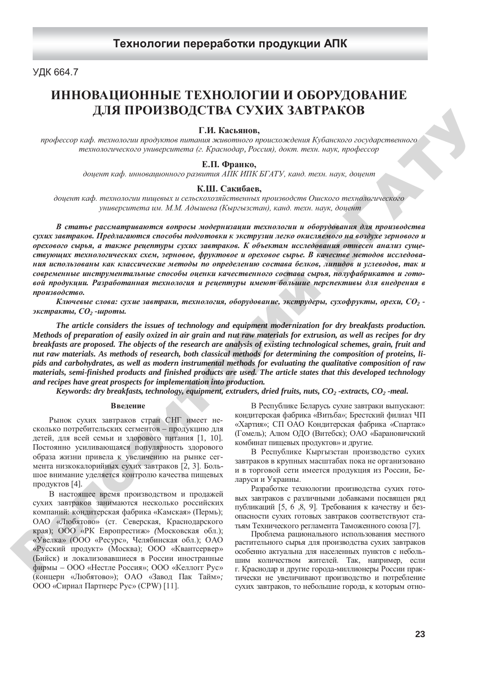# **Ɍɟɯɧɨɥɨɝɢɢ ɩɟɪɟɪɚɛɨɬɤɢ** Технологии переработки продукции АПК

# УДК 664.7

# ИННОВАЦИОННЫЕ ТЕХНОЛОГИИ И ОБОРУДОВАНИЕ **ДЛЯ ПРОИЗВОДСТВА СУХИХ ЗАВТРАКОВ**

# Г.И. Касьянов,

профессор каф. технологии продуктов питания животного происхождения Кубанского государственного технологического университета (г. Краснодар, Россия), докт. техн. наук, профессор

# **Е.П.** Франко,

доцент каф. инновационного развития АПК ИПК БГАТУ, канд. техн. наук, доцент

### К.Ш. Сакибаев,

доцент каф. технологии пищевых и сельскохозяйственных производств Ошского технологического университета им. М.М. Адышева (Кыргызстан), канд. техн. наук, доцент

В статье рассматриваются вопросы модернизации технологии и оборудования для производства сухих завтраков. Предлагаются способы подготовки к экструзии легко окисляемого на воздухе зернового и *орехового сырья, а также рецептуры сухих завтраков. К объектам исследования отнесен анализ суще*ствующих технологических схем, зерновое, фруктовое и ореховое сырье. В качестве методов исследования использованы как классические методы по определению состава белков, липидов и углеводов, так и современные инструментальные способы оценки качественного состава сырья, полуфабрикатов и готовой продукции. Разработанная технология и рецептуры имеют большие перспективы для внедрения в  $nnous$ *800cm80.*  $\mu$ <sub>2</sub>H **H HPOH3BSUP CRACK CRAFT PARCIDE**<br>  $\mu$ <sub>2H *B* **Example and manufacture and manufacture and manufacture and manufacture and manufacture and manufacture and manufacture and manufacture and manufacture and manu</sub>** 

Kлючевые слова: сухие завтраки, технология, оборудование, экструдеры, сухофрукты, орехи, CO<sub>2</sub> - $\alpha$ *sкстракты*,  $CO_2$  *-шроты*.

*The article considers the issues of technology and equipment modernization for dry breakfasts production. Methods of preparation of easily oxized in air grain and nut raw materials for extrusion, as well as recipes for dry breakfasts are proposed. The objects of the research are analysis of existing technological schemes, grain, fruit and nut raw materials. As methods of research, both classical methods for determining the composition of proteins, lipids and carbohydrates, as well as modern instrumental methods for evaluating the qualitative composition of raw materials, semi-finished products and finished products are used. The article states that this developed technology and recipes have great prospects for implementation into production.*

*Keywords: dry breakfasts, technology, equipment, extruders, dried fruits, nuts, CO2 -extracts, CO2 -meal.*

### **Введение**

Рынок сухих завтраков стран СНГ имеет несколько потребительских сегментов - продукцию для детей, для всей семьи и здорового питания [1, 10]. Постоянно усиливающаяся популярность здорового образа жизни привела к увеличению на рынке сегмента низкокалорийных сухих завтраков [2, 3]. Большое внимание уделяется контролю качества пищевых продуктов [4].

В настоящее время производством и продажей сухих завтраков занимаются несколько российских компаний: кондитерская фабрика «Камская» (Пермь); ОАО «Любятово» (ст. Северская, Краснодарского края); ООО «РК Европрестиж» (Московская обл.); «Увелка» (ООО «Ресурс», Челябинская обл.); ОАО «Русский продукт» (Москва); ООО «Квантсервер» (Бийск) и локализовавшиеся в России иностранные фирмы - ООО «Нестле Россия»; ООО «Келлогг Рус» (концерн «Любятово»); ОАО «Завод Пак Тайм»; ООО «Сириал Партнерс Рус» (СРW) [11].

В Республике Беларусь сухие завтраки выпускают: кондитерская фабрика «Витьба»; Брестский филиал ЧП «Хартия»; СП ОАО Кондитерская фабрика «Спартак» (Гомель); Алюм ОДО (Витебск); ОАО «Барановичский комбинат пищевых продуктов» и другие.

В Республике Кыргызстан производство сухих завтраков в крупных масштабах пока не организовано и в торговой сети имеется продукция из России, Беларуси и Украины.

Разработке технологии производства сухих готовых завтраков с различными добавками посвящен ряд публикаций [5, 6, 8, 9]. Требования к качеству и безопасности сухих готовых завтраков соответствуют статьям Технического регламента Таможенного союза [7].

Проблема рационального использования местного растительного сырья для производства сухих завтраков особенно актуальна для населенных пунктов с небольшим количеством жителей. Так, например, если г. Краснодар и другие города-миллионеры России практически не увеличивают производство и потребление сухих завтраков, то небольшие города, к которым отно-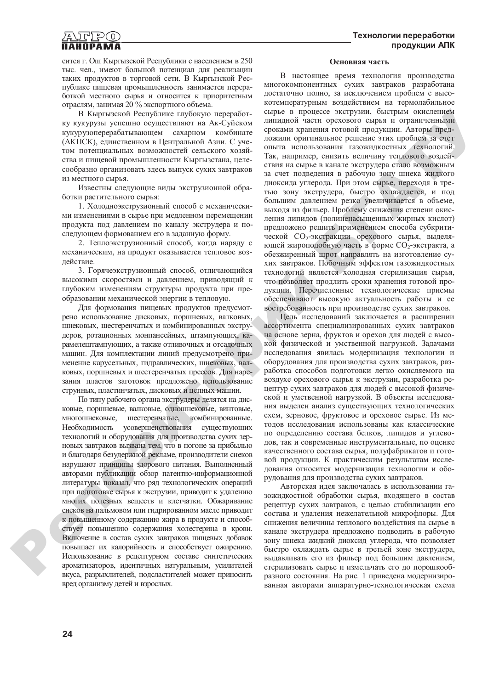сится г. Ош Кыргызской Республики с населением в 250 тыс. чел., имеют большой потенциал для реализации таких продуктов в торговой сети. В Кыргызской Республике пишевая промышленность занимается переработкой местного сырья и относится к приоритетным отраслям, занимая 20 % экспортного объема.

В Кыргызской Республике глубокую переработку кукурузы успешно осуществляют на Ак-Суйском кукурузоперерабатывающем сахарном комбинате (АКПСК), единственном в Центральной Азии. С учетом потенциальных возможностей сельского хозяйства и пищевой промышленности Кыргызстана, целесообразно организовать здесь выпуск сухих завтраков из местного сырья.

Известны следующие виды экструзионной обработки растительного сырья:

1. Холодноэкструзионный способ с механическими изменениями в сырье при медленном перемещении продукта под давлением по каналу экструдера и последующем формованием его в заданную форму.

2. Теплоэкструзионный способ, когда наряду с механическим, на продукт оказывается тепловое воздействие.

3. Горячеэкструзионный способ, отличающийся высокими скоростями и давлением, приводящий к глубоким изменениям структуры продукта при преобразовании механической энергии в тепловую.

Для формования пищевых продуктов предусмотрено использование дисковых, поршневых, валковых, шнековых, шестеренчатых и комбинированных экструдеров, ротационных монпансейных, штампующих, карамелештампующих, а также отливочных и отсадочных машин. Для комплектации линий предусмотрено применение карусельных, гидравлических, шнековых, валковых, поршневых и шестеренчатых прессов. Для нарезания пластов заготовок предложено использование струнных, пластинчатых, дисковых и цепных машин.

По типу рабочего органа экструдеры делятся на дисковые, поршневые, валковые, одношнековые, винтовые, многошнековые, шестеренчатые, комбинированные. Необходимость усовершенствования существующих технологий и оборудования для производства сухих зерновых завтраков вызвана тем, что в погоне за прибылью и благодаря безудержной рекламе, производители снеков нарушают принципы здорового питания. Выполненный авторами публикации обзор патентно-информационной литературы показал, что ряд технологических операций при подготовке сырья к экструзии, приводит к удалению многих полезных веществ и клетчатки. Обжаривание снеков на пальмовом или гидрированном масле приводит к повышенному содержанию жира в продукте и способствует повышению содержания холестерина в крови. Включение в состав сухих завтраков пищевых добавок повышает их калорийность и способствует ожирению. Использование в рецептурном составе синтетических ароматизаторов, идентичных натуральным, усилителей вкуса, разрыхлителей, подсластителей может приносить вред организму детей и взрослых.  $\mathbf{Q}^{\prime}$ 

### Основная часть

В настоящее время технология производства многокомпонентных сухих завтраков разработана достаточно полно, за исключением проблем с высокотемпературным воздействием на термолабильное сырье в процессе экструзии, быстрым окислением липидной части орехового сырья и ограниченными сроками хранения готовой продукции. Авторы предложили оригинальное решение этих проблем за счет опыта использования газожидкостных технологий. Так, например, снизить величину теплового воздействия на сырье в канале экструдера стало возможным за счет подведения в рабочую зону шнека жидкого диоксида углерода. При этом сырье, переходя в третью зону экструдера, быстро охлаждается, и под большим давлением резко увеличивается в объеме, выходя из фильер. Проблему снижения степени окисления липидов (полиненасыщенных жирных кислот) предложено решить применением способа субкритической СО<sub>2</sub>-экстракции орехового сырья, выделяющей жироподобную часть в форме  $CO_2$ -экстракта, а обезжиренный шрот направлять на изготовление сухих завтраков. Побочным эффектом газожидкостных технологий является холодная стерилизация сырья, что позволяет продлить сроки хранения готовой продукции. Перечисленные технологические приемы обеспечивают высокую актуальность работы и ее востребованность при производстве сухих завтраков. ε Σωμετικοποι Ροειτης που της πορειτης των προσκευτικοποι των προσκευτικοποι των προσκευτικοποι των προσκευτικοποι των προσκευτικοποι των προσκευτικοποι των προσκευτικοποι των προσκευτικοποι των προσκευτικοποι των προσκ

Цель исследований заключается в расширении ассортимента специализированных сухих завтраков на основе зерна, фруктов и орехов для людей с высокой физической и умственной нагрузкой. Задачами исследования явилась модернизация технологии и оборудования для производства сухих завтраков, разработка способов подготовки легко окисляемого на воздухе орехового сырья к экструзии, разработка рецептур сухих завтраков для людей с высокой физической и умственной нагрузкой. В объекты исследования выделен анализ существующих технологических схем, зерновое, фруктовое и ореховое сырье. Из методов исследования использованы как классические по определению состава белков, липидов и углеводов, так и современные инструментальные, по оценке качественного состава сырья, полуфабрикатов и готовой продукции. К практическим результатам исследования относится модернизация технологии и оборудования для производства сухих завтраков.

Авторская идея заключалась в использовании газожидкостной обработки сырья, входящего в состав рецептур сухих завтраков, с целью стабилизации его состава и удаления нежелательной микрофлоры. Для снижения величины теплового воздействия на сырье в канале экструдера предложено подводить в рабочую зону шнека жидкий диоксид углерода, что позволяет быстро охлаждать сырье в третьей зоне экструдера, выдавливать его из фильер под большим давлением, стерилизовать сырье и измельчать его до порошкообразного состояния. На рис. 1 приведена модернизированная авторами аппаратурно-технологическая схема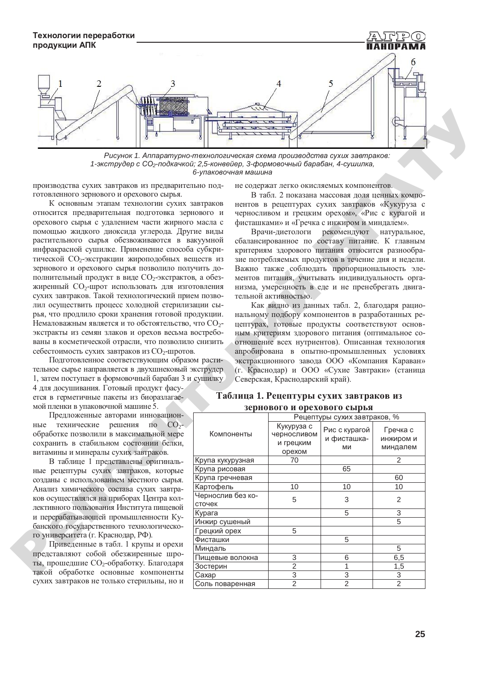

Рисунок 1. Аппаратурно-технологическая схема производства сухих завтраков: 1-экструдер с СО<sub>2</sub>-подкачкой; 2,5-конвейер, 3-формовочный барабан, 4-сушилка,  $6$ -упаковочная машина

производства сухих завтраков из предварительно подготовленного зернового и орехового сырья.

К основным этапам технологии сухих завтраков относится предварительная подготовка зернового и орехового сырья с удалением части жирного масла с помощью жидкого диоксида углерода. Другие виды растительного сырья обезвоживаются в вакуумной инфракрасной сушилке. Применение способа субкритической СО<sub>2</sub>-экстракции жироподобных веществ из зернового и орехового сырья позволило получить дополнительный продукт в виде  $CO_2$ -экстрактов, а обезжиренный СО<sub>2</sub>-шрот использовать для изготовления сухих завтраков. Такой технологический прием позволил осуществить процесс холодной стерилизации сырья, что продлило сроки хранения готовой продукции. Немаловажным является и то обстоятельство, что СО<sub>2</sub>экстракты из семян злаков и орехов весьма востребованы в косметической отрасли, что позволило снизить себестоимость сухих завтраков из СО<sub>2</sub>-шротов.

Подготовленное соответствующим образом растительное сырье направляется в двухшнековый экструдер 1, затем поступает в формовочный барабан 3 и сушилку

4 для досушивания. Готовый продукт фасуется в герметичные пакеты из биоразлагаемой пленки в упаковочной машине 5.

Предложенные авторами инновационные технические решения по  $CO<sub>2</sub>$ обработке позволили в максимальной мере сохранить в стабильном состоянии белки, витамины и минералы сухих завтраков.

В таблице 1 представлены оригинальные рецептуры сухих завтраков, которые созданы с использованием местного сырья. Анализ химического состава сухих завтраков осуществлялся на приборах Центра коллективного пользования Института пищевой и перерабатывающей промышленности Кубанского государственного технологического университета (г. Краснодар, РФ).

Приведенные в табл. 1 крупы и орехи представляют собой обезжиренные шроты, прошедшие СО<sub>2</sub>-обработку. Благодаря такой обработке основные компоненты сухих завтраков не только стерильны, но и оанского<br>Го униве<br>При<br>предстан<br>ты, прои<br>такой с

# **Таблица 1. Рецептуры сухих завтраков из зернового и орехового сырья**

| Рисунок 1. Аппаратурно-технологическая схема производства сухих завтраков:<br>1-экструдер с СО <sub>2</sub> -подкачкой; 2,5-конвейер, 3-формовочный барабан, 4-сушилка,<br>6-упаковочная машина                                                                                                                                                                                                                                                                                                                                                                                                                                                                                                                                                                                                                                                                                                                                                                                                                                                                                                                                                                                                                                                                                                                                                                                                                                                                                                                                                                                                                                                                                                                                                                                                                                                                                                                                                                                                                                                                                                                                                                                                                                                                                                                                                                                                                                                 |                              |                                                  |                                    |                                   |  |  |  |  |  |  |
|-------------------------------------------------------------------------------------------------------------------------------------------------------------------------------------------------------------------------------------------------------------------------------------------------------------------------------------------------------------------------------------------------------------------------------------------------------------------------------------------------------------------------------------------------------------------------------------------------------------------------------------------------------------------------------------------------------------------------------------------------------------------------------------------------------------------------------------------------------------------------------------------------------------------------------------------------------------------------------------------------------------------------------------------------------------------------------------------------------------------------------------------------------------------------------------------------------------------------------------------------------------------------------------------------------------------------------------------------------------------------------------------------------------------------------------------------------------------------------------------------------------------------------------------------------------------------------------------------------------------------------------------------------------------------------------------------------------------------------------------------------------------------------------------------------------------------------------------------------------------------------------------------------------------------------------------------------------------------------------------------------------------------------------------------------------------------------------------------------------------------------------------------------------------------------------------------------------------------------------------------------------------------------------------------------------------------------------------------------------------------------------------------------------------------------------------------|------------------------------|--------------------------------------------------|------------------------------------|-----------------------------------|--|--|--|--|--|--|
| оизводства сухих завтраков из предварительно под-<br>не содержат легко окисляемых компонентов.<br>овленного зернового и орехового сырья.<br>В табл. 2 показана массовая доля ценных компо-<br>К основным этапам технологии сухих завтраков<br>нентов в рецептурах сухих завтраков «Кукуруза с<br>юсится предварительная подготовка зернового и<br>черносливом и грецким орехом», «Рис с курагой и<br>ехового сырья с удалением части жирного масла с<br>фисташками» и «Гречка с инжиром и миндалем».<br>лощью жидкого диоксида углерода. Другие виды<br>Врачи-диетологи<br>рекомендуют натуральное,<br>тительного сырья обезвоживаются в вакуумной<br>сбалансированное по составу питание. К главным<br>рракрасной сушилке. Применение способа субкри-<br>критериям здорового питания относится разнообра-<br>еской CO <sub>2</sub> -экстракции жироподобных веществ из<br>зие потребляемых продуктов в течение дня и недели.<br>нового и орехового сырья позволило получить до-<br>Важно также соблюдать пропорциональность эле-<br>инительный продукт в виде $CO_2$ -экстрактов, а обез-<br>ментов питания, учитывать индивидуальность орга-<br>ренный СО <sub>2</sub> -шрот использовать для изготовления<br>низма, умеренность в еде и не пренебрегать двига-<br>их завтраков. Такой технологический прием позво-<br>тельной активностью.<br>г осуществить процесс холодной стерилизации сы-<br>Как видно из данных табл. 2, благодаря рацио-<br>, что продлило сроки хранения готовой продукции.<br>нальному подбору компонентов в разработанных ре-<br>иаловажным является и то обстоятельство, что $\mathrm{CO_{2^{\text{-}}}}$<br>цептурах, готовые продукты соответствуют основ-<br>тракты из семян злаков и орехов весьма востребо-<br>ным критериям здорового питания (оптимальное со-<br>ы в косметической отрасли, что позволило снизить<br>отношение всех нутриентов). Описанная технология<br>естоимость сухих завтраков из СО <sub>2</sub> -шротов.<br>апробирована в опытно-промышленных условиях<br>Подготовленное соответствующим образом расти-<br>экстракционного завода ООО «Компания Караван»<br>ьное сырье направляется в двухшнековый экструдер<br>(г. Краснодар) и ООО «Сухие Завтраки» (станица<br>атем поступает в формовочный барабан 3 и сушилку<br>Северская, Краснодарский край).<br>ля досушивания. Готовый продукт фасу-<br>Таблица 1. Рецептуры сухих завтраков из<br>я в герметичные пакеты из биоразлагае- |                              |                                                  |                                    |                                   |  |  |  |  |  |  |
| й пленки в упаковочной машине 5.                                                                                                                                                                                                                                                                                                                                                                                                                                                                                                                                                                                                                                                                                                                                                                                                                                                                                                                                                                                                                                                                                                                                                                                                                                                                                                                                                                                                                                                                                                                                                                                                                                                                                                                                                                                                                                                                                                                                                                                                                                                                                                                                                                                                                                                                                                                                                                                                                |                              | зернового и орехового сырья                      |                                    |                                   |  |  |  |  |  |  |
| Предложенные авторами инновацион-                                                                                                                                                                                                                                                                                                                                                                                                                                                                                                                                                                                                                                                                                                                                                                                                                                                                                                                                                                                                                                                                                                                                                                                                                                                                                                                                                                                                                                                                                                                                                                                                                                                                                                                                                                                                                                                                                                                                                                                                                                                                                                                                                                                                                                                                                                                                                                                                               |                              | Рецептуры сухих завтраков, %                     |                                    |                                   |  |  |  |  |  |  |
| е технические решения<br>CO <sub>2</sub><br>$\overline{110}$<br>работке позволили в максимальной мере<br>ранить в стабильном состоянии белки,<br>амины и минералы сухих завтраков.                                                                                                                                                                                                                                                                                                                                                                                                                                                                                                                                                                                                                                                                                                                                                                                                                                                                                                                                                                                                                                                                                                                                                                                                                                                                                                                                                                                                                                                                                                                                                                                                                                                                                                                                                                                                                                                                                                                                                                                                                                                                                                                                                                                                                                                              | Компоненты                   | Кукуруза с<br>черносливом<br>и грецким<br>орехом | Рис с курагой<br>и фисташка-<br>МИ | Гречка с<br>инжиром и<br>миндалем |  |  |  |  |  |  |
| В таблице 1 представлены оригиналь-                                                                                                                                                                                                                                                                                                                                                                                                                                                                                                                                                                                                                                                                                                                                                                                                                                                                                                                                                                                                                                                                                                                                                                                                                                                                                                                                                                                                                                                                                                                                                                                                                                                                                                                                                                                                                                                                                                                                                                                                                                                                                                                                                                                                                                                                                                                                                                                                             | Крупа кукурузная             | 70                                               |                                    | $\overline{2}$                    |  |  |  |  |  |  |
| е рецептуры сухих завтраков, которые                                                                                                                                                                                                                                                                                                                                                                                                                                                                                                                                                                                                                                                                                                                                                                                                                                                                                                                                                                                                                                                                                                                                                                                                                                                                                                                                                                                                                                                                                                                                                                                                                                                                                                                                                                                                                                                                                                                                                                                                                                                                                                                                                                                                                                                                                                                                                                                                            | Крупа рисовая                |                                                  | 65                                 |                                   |  |  |  |  |  |  |
| даны с использованием местного сырья.                                                                                                                                                                                                                                                                                                                                                                                                                                                                                                                                                                                                                                                                                                                                                                                                                                                                                                                                                                                                                                                                                                                                                                                                                                                                                                                                                                                                                                                                                                                                                                                                                                                                                                                                                                                                                                                                                                                                                                                                                                                                                                                                                                                                                                                                                                                                                                                                           | Крупа гречневая<br>Картофель | 10                                               | 10                                 | 60<br>10                          |  |  |  |  |  |  |
| ализ химического состава сухих завтра-                                                                                                                                                                                                                                                                                                                                                                                                                                                                                                                                                                                                                                                                                                                                                                                                                                                                                                                                                                                                                                                                                                                                                                                                                                                                                                                                                                                                                                                                                                                                                                                                                                                                                                                                                                                                                                                                                                                                                                                                                                                                                                                                                                                                                                                                                                                                                                                                          | Чернослив без ко-            |                                                  |                                    |                                   |  |  |  |  |  |  |
| осуществлялся на приборах Центра кол-<br>тивного пользования Института пищевой                                                                                                                                                                                                                                                                                                                                                                                                                                                                                                                                                                                                                                                                                                                                                                                                                                                                                                                                                                                                                                                                                                                                                                                                                                                                                                                                                                                                                                                                                                                                                                                                                                                                                                                                                                                                                                                                                                                                                                                                                                                                                                                                                                                                                                                                                                                                                                  | сточек                       | 5                                                | 3                                  | $\overline{2}$                    |  |  |  |  |  |  |
| ерерабатывающей промышленности Ку-                                                                                                                                                                                                                                                                                                                                                                                                                                                                                                                                                                                                                                                                                                                                                                                                                                                                                                                                                                                                                                                                                                                                                                                                                                                                                                                                                                                                                                                                                                                                                                                                                                                                                                                                                                                                                                                                                                                                                                                                                                                                                                                                                                                                                                                                                                                                                                                                              | Курага                       |                                                  | 5                                  | 3                                 |  |  |  |  |  |  |
| ского государственного технологическо-                                                                                                                                                                                                                                                                                                                                                                                                                                                                                                                                                                                                                                                                                                                                                                                                                                                                                                                                                                                                                                                                                                                                                                                                                                                                                                                                                                                                                                                                                                                                                                                                                                                                                                                                                                                                                                                                                                                                                                                                                                                                                                                                                                                                                                                                                                                                                                                                          | Инжир сушеный                |                                                  |                                    | 5                                 |  |  |  |  |  |  |
| иниверситета (г. Краснодар, РФ).                                                                                                                                                                                                                                                                                                                                                                                                                                                                                                                                                                                                                                                                                                                                                                                                                                                                                                                                                                                                                                                                                                                                                                                                                                                                                                                                                                                                                                                                                                                                                                                                                                                                                                                                                                                                                                                                                                                                                                                                                                                                                                                                                                                                                                                                                                                                                                                                                | Грецкий орех                 | 5                                                |                                    |                                   |  |  |  |  |  |  |
| Приведенные в табл. 1 крупы и орехи                                                                                                                                                                                                                                                                                                                                                                                                                                                                                                                                                                                                                                                                                                                                                                                                                                                                                                                                                                                                                                                                                                                                                                                                                                                                                                                                                                                                                                                                                                                                                                                                                                                                                                                                                                                                                                                                                                                                                                                                                                                                                                                                                                                                                                                                                                                                                                                                             | Фисташки                     |                                                  | 5                                  |                                   |  |  |  |  |  |  |
| дставляют собой обезжиренные шро-                                                                                                                                                                                                                                                                                                                                                                                                                                                                                                                                                                                                                                                                                                                                                                                                                                                                                                                                                                                                                                                                                                                                                                                                                                                                                                                                                                                                                                                                                                                                                                                                                                                                                                                                                                                                                                                                                                                                                                                                                                                                                                                                                                                                                                                                                                                                                                                                               | Миндаль                      |                                                  |                                    | 5                                 |  |  |  |  |  |  |
| прошедшие СО <sub>2</sub> -обработку. Благодаря                                                                                                                                                                                                                                                                                                                                                                                                                                                                                                                                                                                                                                                                                                                                                                                                                                                                                                                                                                                                                                                                                                                                                                                                                                                                                                                                                                                                                                                                                                                                                                                                                                                                                                                                                                                                                                                                                                                                                                                                                                                                                                                                                                                                                                                                                                                                                                                                 | Пищевые волокна              | 3                                                | 6                                  | 6,5                               |  |  |  |  |  |  |
| ой обработке основные компоненты                                                                                                                                                                                                                                                                                                                                                                                                                                                                                                                                                                                                                                                                                                                                                                                                                                                                                                                                                                                                                                                                                                                                                                                                                                                                                                                                                                                                                                                                                                                                                                                                                                                                                                                                                                                                                                                                                                                                                                                                                                                                                                                                                                                                                                                                                                                                                                                                                | Зостерин<br>Caxap            | 2<br>3                                           | 1<br>3                             | 1,5<br>3                          |  |  |  |  |  |  |
| их завтраков не только стерильны, но и                                                                                                                                                                                                                                                                                                                                                                                                                                                                                                                                                                                                                                                                                                                                                                                                                                                                                                                                                                                                                                                                                                                                                                                                                                                                                                                                                                                                                                                                                                                                                                                                                                                                                                                                                                                                                                                                                                                                                                                                                                                                                                                                                                                                                                                                                                                                                                                                          | Соль поваренная              | $\overline{2}$                                   | $\overline{2}$                     | $\overline{2}$                    |  |  |  |  |  |  |
|                                                                                                                                                                                                                                                                                                                                                                                                                                                                                                                                                                                                                                                                                                                                                                                                                                                                                                                                                                                                                                                                                                                                                                                                                                                                                                                                                                                                                                                                                                                                                                                                                                                                                                                                                                                                                                                                                                                                                                                                                                                                                                                                                                                                                                                                                                                                                                                                                                                 |                              |                                                  |                                    |                                   |  |  |  |  |  |  |